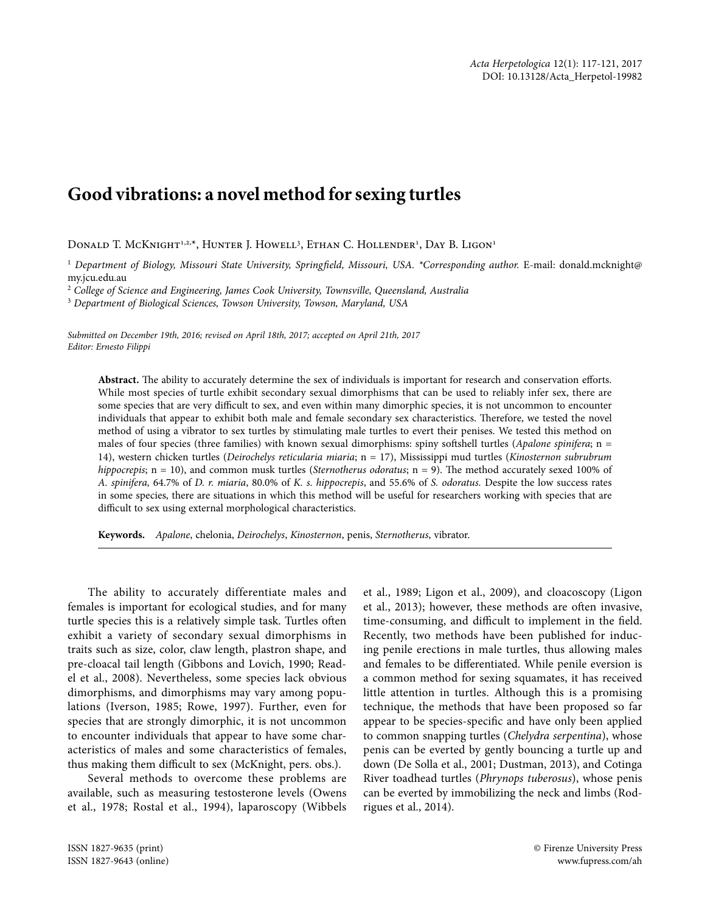## **Good vibrations: a novel method for sexing turtles**

Donald T. McKnight<sup>1,2,x</sup>, Hunter J. Howell<sup>3</sup>, Ethan C. Hollender<sup>1</sup>, Day B. Ligon<sup>1</sup>

<sup>1</sup> Department of Biology, Missouri State University, Springfield, Missouri, USA. \*Corresponding author. E-mail: donald.mcknight@ my.jcu.edu.au

2  *College of Science and Engineering, James Cook University, Townsville, Queensland, Australia*

3  *Department of Biological Sciences, Towson University, Towson, Maryland, USA*

*Submitted on December 19th, 2016; revised on April 18th, 2017; accepted on April 21th, 2017 Editor: Ernesto Filippi*

**Abstract.** The ability to accurately determine the sex of individuals is important for research and conservation efforts. While most species of turtle exhibit secondary sexual dimorphisms that can be used to reliably infer sex, there are some species that are very difficult to sex, and even within many dimorphic species, it is not uncommon to encounter individuals that appear to exhibit both male and female secondary sex characteristics. Therefore, we tested the novel method of using a vibrator to sex turtles by stimulating male turtles to evert their penises. We tested this method on males of four species (three families) with known sexual dimorphisms: spiny softshell turtles (*Apalone spinifera*; n = 14), western chicken turtles (*Deirochelys reticularia miaria*; n = 17), Mississippi mud turtles (*Kinosternon subrubrum hippocrepis*; n = 10), and common musk turtles (*Sternotherus odoratus*; n = 9). The method accurately sexed 100% of *A. spinifera,* 64.7% of *D. r. miaria*, 80.0% of *K. s. hippocrepis*, and 55.6% of *S. odoratus.* Despite the low success rates in some species, there are situations in which this method will be useful for researchers working with species that are difficult to sex using external morphological characteristics.

**Keywords.** *Apalone*, chelonia, *Deirochelys*, *Kinosternon*, penis, *Sternotherus*, vibrator.

The ability to accurately differentiate males and females is important for ecological studies, and for many turtle species this is a relatively simple task. Turtles often exhibit a variety of secondary sexual dimorphisms in traits such as size, color, claw length, plastron shape, and pre-cloacal tail length (Gibbons and Lovich, 1990; Readel et al., 2008). Nevertheless, some species lack obvious dimorphisms, and dimorphisms may vary among populations (Iverson, 1985; Rowe, 1997). Further, even for species that are strongly dimorphic, it is not uncommon to encounter individuals that appear to have some characteristics of males and some characteristics of females, thus making them difficult to sex (McKnight, pers. obs.).

Several methods to overcome these problems are available, such as measuring testosterone levels (Owens et al., 1978; Rostal et al., 1994), laparoscopy (Wibbels

et al., 1989; Ligon et al., 2009), and cloacoscopy (Ligon et al., 2013); however, these methods are often invasive, time-consuming, and difficult to implement in the field. Recently, two methods have been published for inducing penile erections in male turtles, thus allowing males and females to be differentiated. While penile eversion is a common method for sexing squamates, it has received little attention in turtles. Although this is a promising technique, the methods that have been proposed so far appear to be species-specific and have only been applied to common snapping turtles (*Chelydra serpentina*), whose penis can be everted by gently bouncing a turtle up and down (De Solla et al., 2001; Dustman, 2013), and Cotinga River toadhead turtles (*Phrynops tuberosus*), whose penis can be everted by immobilizing the neck and limbs (Rodrigues et al., 2014).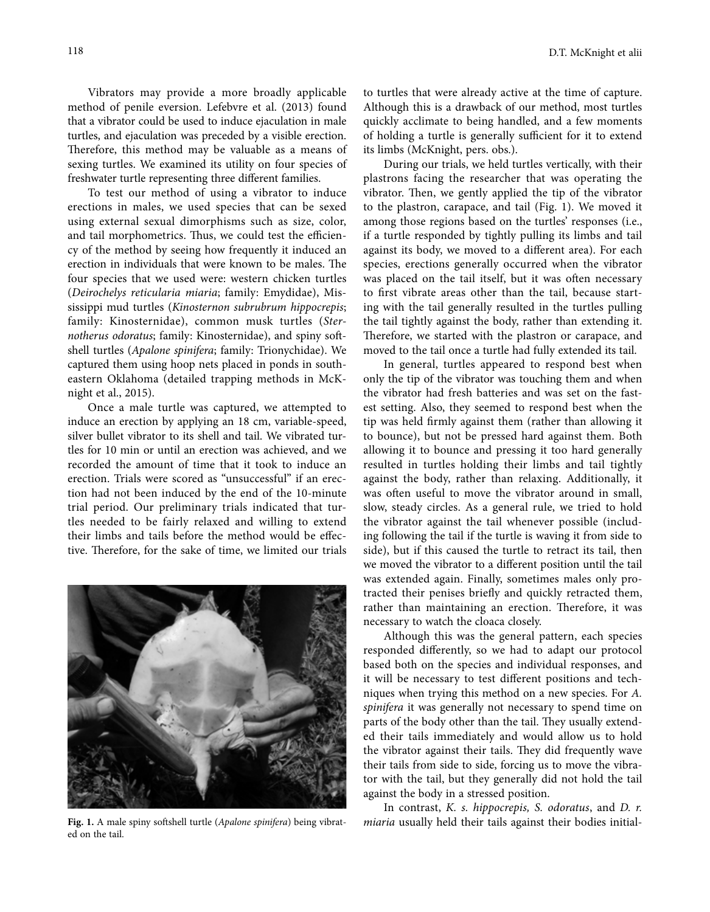Vibrators may provide a more broadly applicable method of penile eversion. Lefebvre et al. (2013) found that a vibrator could be used to induce ejaculation in male turtles, and ejaculation was preceded by a visible erection. Therefore, this method may be valuable as a means of sexing turtles. We examined its utility on four species of freshwater turtle representing three different families.

To test our method of using a vibrator to induce erections in males, we used species that can be sexed using external sexual dimorphisms such as size, color, and tail morphometrics. Thus, we could test the efficiency of the method by seeing how frequently it induced an erection in individuals that were known to be males. The four species that we used were: western chicken turtles (*Deirochelys reticularia miaria*; family: Emydidae), Mississippi mud turtles (*Kinosternon subrubrum hippocrepis*; family: Kinosternidae), common musk turtles (*Sternotherus odoratus*; family: Kinosternidae), and spiny softshell turtles (*Apalone spinifera*; family: Trionychidae). We captured them using hoop nets placed in ponds in southeastern Oklahoma (detailed trapping methods in McKnight et al., 2015).

Once a male turtle was captured, we attempted to induce an erection by applying an 18 cm, variable-speed, silver bullet vibrator to its shell and tail. We vibrated turtles for 10 min or until an erection was achieved, and we recorded the amount of time that it took to induce an erection. Trials were scored as "unsuccessful" if an erection had not been induced by the end of the 10-minute trial period. Our preliminary trials indicated that turtles needed to be fairly relaxed and willing to extend their limbs and tails before the method would be effective. Therefore, for the sake of time, we limited our trials



ed on the tail.

to turtles that were already active at the time of capture. Although this is a drawback of our method, most turtles quickly acclimate to being handled, and a few moments of holding a turtle is generally sufficient for it to extend its limbs (McKnight, pers. obs.).

During our trials, we held turtles vertically, with their plastrons facing the researcher that was operating the vibrator. Then, we gently applied the tip of the vibrator to the plastron, carapace, and tail (Fig. 1). We moved it among those regions based on the turtles' responses (i.e., if a turtle responded by tightly pulling its limbs and tail against its body, we moved to a different area). For each species, erections generally occurred when the vibrator was placed on the tail itself, but it was often necessary to first vibrate areas other than the tail, because starting with the tail generally resulted in the turtles pulling the tail tightly against the body, rather than extending it. Therefore, we started with the plastron or carapace, and moved to the tail once a turtle had fully extended its tail.

In general, turtles appeared to respond best when only the tip of the vibrator was touching them and when the vibrator had fresh batteries and was set on the fastest setting. Also, they seemed to respond best when the tip was held firmly against them (rather than allowing it to bounce), but not be pressed hard against them. Both allowing it to bounce and pressing it too hard generally resulted in turtles holding their limbs and tail tightly against the body, rather than relaxing. Additionally, it was often useful to move the vibrator around in small, slow, steady circles. As a general rule, we tried to hold the vibrator against the tail whenever possible (including following the tail if the turtle is waving it from side to side), but if this caused the turtle to retract its tail, then we moved the vibrator to a different position until the tail was extended again. Finally, sometimes males only protracted their penises briefly and quickly retracted them, rather than maintaining an erection. Therefore, it was necessary to watch the cloaca closely.

Although this was the general pattern, each species responded differently, so we had to adapt our protocol based both on the species and individual responses, and it will be necessary to test different positions and techniques when trying this method on a new species. For *A. spinifera* it was generally not necessary to spend time on parts of the body other than the tail. They usually extended their tails immediately and would allow us to hold the vibrator against their tails. They did frequently wave their tails from side to side, forcing us to move the vibrator with the tail, but they generally did not hold the tail against the body in a stressed position.

In contrast, *K. s. hippocrepis, S. odoratus*, and *D. r.*  **Fig. 1.** A male spiny softshell turtle (*Apalone spinifera*) being vibrat- *miaria* usually held their tails against their bodies initial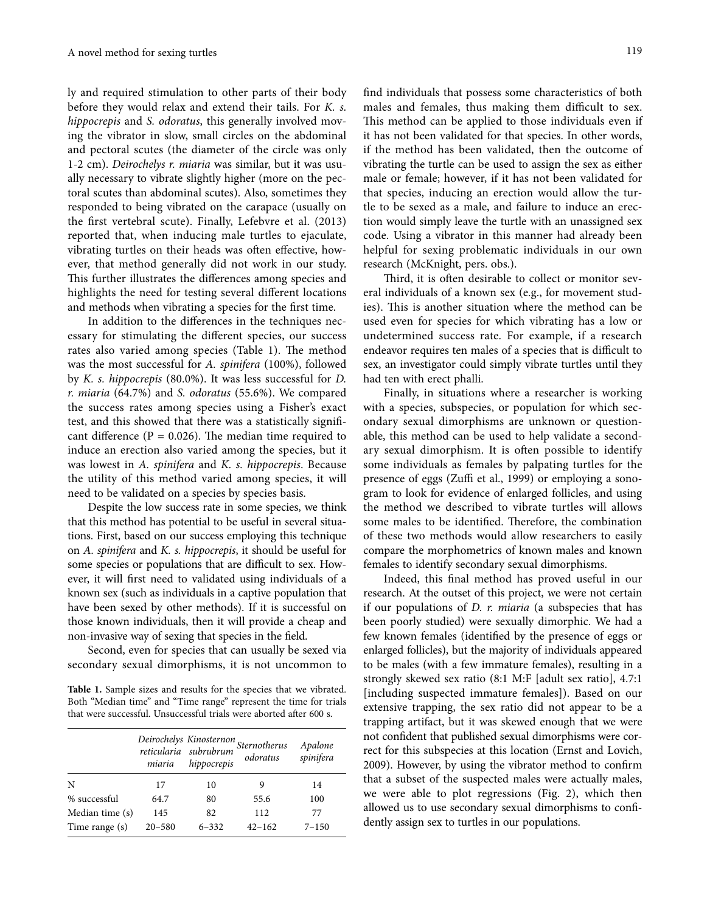ly and required stimulation to other parts of their body before they would relax and extend their tails. For *K. s. hippocrepis* and *S. odoratus*, this generally involved moving the vibrator in slow, small circles on the abdominal and pectoral scutes (the diameter of the circle was only 1-2 cm). *Deirochelys r. miaria* was similar, but it was usually necessary to vibrate slightly higher (more on the pectoral scutes than abdominal scutes). Also, sometimes they responded to being vibrated on the carapace (usually on the first vertebral scute). Finally, Lefebvre et al. (2013) reported that, when inducing male turtles to ejaculate, vibrating turtles on their heads was often effective, however, that method generally did not work in our study. This further illustrates the differences among species and highlights the need for testing several different locations and methods when vibrating a species for the first time.

In addition to the differences in the techniques necessary for stimulating the different species, our success rates also varied among species (Table 1). The method was the most successful for *A. spinifera* (100%), followed by *K. s. hippocrepis* (80.0%). It was less successful for *D. r. miaria* (64.7%) and *S. odoratus* (55.6%). We compared the success rates among species using a Fisher's exact test, and this showed that there was a statistically significant difference ( $P = 0.026$ ). The median time required to induce an erection also varied among the species, but it was lowest in *A. spinifera* and *K. s. hippocrepis*. Because the utility of this method varied among species, it will need to be validated on a species by species basis.

Despite the low success rate in some species, we think that this method has potential to be useful in several situations. First, based on our success employing this technique on *A. spinifera* and *K. s. hippocrepis*, it should be useful for some species or populations that are difficult to sex. However, it will first need to validated using individuals of a known sex (such as individuals in a captive population that have been sexed by other methods). If it is successful on those known individuals, then it will provide a cheap and non-invasive way of sexing that species in the field.

Second, even for species that can usually be sexed via secondary sexual dimorphisms, it is not uncommon to

**Table 1.** Sample sizes and results for the species that we vibrated. Both "Median time" and "Time range" represent the time for trials that were successful. Unsuccessful trials were aborted after 600 s.

|                 | miaria     | hippocrepis | Deirochelys Kinosternon<br>reticularia subrubrum<br>odoratus | Apalone<br>spinifera |
|-----------------|------------|-------------|--------------------------------------------------------------|----------------------|
| N               | 17         | 10          | 9                                                            | 14                   |
| % successful    | 64.7       | 80          | 55.6                                                         | 100                  |
| Median time (s) | 145        | 82          | 112                                                          | 77                   |
| Time range (s)  | $20 - 580$ | $6 - 332$   | $42 - 162$                                                   | $7 - 150$            |

find individuals that possess some characteristics of both males and females, thus making them difficult to sex. This method can be applied to those individuals even if it has not been validated for that species. In other words, if the method has been validated, then the outcome of vibrating the turtle can be used to assign the sex as either male or female; however, if it has not been validated for that species, inducing an erection would allow the turtle to be sexed as a male, and failure to induce an erection would simply leave the turtle with an unassigned sex code. Using a vibrator in this manner had already been helpful for sexing problematic individuals in our own research (McKnight, pers. obs.).

Third, it is often desirable to collect or monitor several individuals of a known sex (e.g., for movement studies). This is another situation where the method can be used even for species for which vibrating has a low or undetermined success rate. For example, if a research endeavor requires ten males of a species that is difficult to sex, an investigator could simply vibrate turtles until they had ten with erect phalli.

Finally, in situations where a researcher is working with a species, subspecies, or population for which secondary sexual dimorphisms are unknown or questionable, this method can be used to help validate a secondary sexual dimorphism. It is often possible to identify some individuals as females by palpating turtles for the presence of eggs (Zuffi et al., 1999) or employing a sonogram to look for evidence of enlarged follicles, and using the method we described to vibrate turtles will allows some males to be identified. Therefore, the combination of these two methods would allow researchers to easily compare the morphometrics of known males and known females to identify secondary sexual dimorphisms.

Indeed, this final method has proved useful in our research. At the outset of this project, we were not certain if our populations of *D. r. miaria* (a subspecies that has been poorly studied) were sexually dimorphic. We had a few known females (identified by the presence of eggs or enlarged follicles), but the majority of individuals appeared to be males (with a few immature females), resulting in a strongly skewed sex ratio (8:1 M:F [adult sex ratio], 4.7:1 [including suspected immature females]). Based on our extensive trapping, the sex ratio did not appear to be a trapping artifact, but it was skewed enough that we were not confident that published sexual dimorphisms were correct for this subspecies at this location (Ernst and Lovich, 2009). However, by using the vibrator method to confirm that a subset of the suspected males were actually males, we were able to plot regressions (Fig. 2), which then allowed us to use secondary sexual dimorphisms to confidently assign sex to turtles in our populations.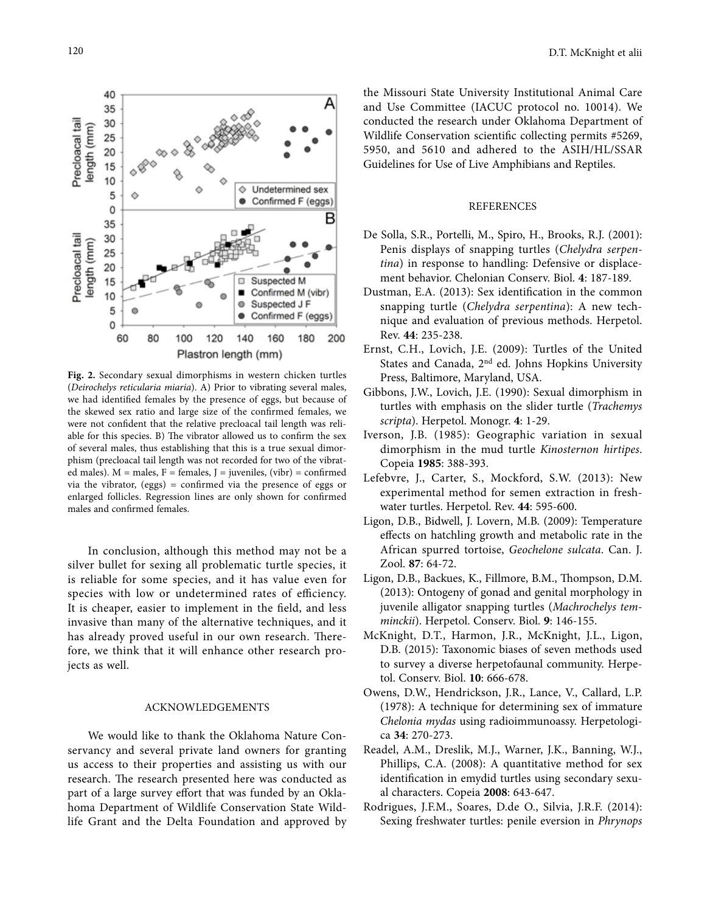А 35 30 ength (mm) 25 20 15 10 Undetermined sex ۵ 5 Ó Confirmed F (eggs)  $\mathbf 0$ В 35 30 ength (mm) 25 20 15 Suspected M  $\Box$ Confirmed M (vibr)  $10$  $\alpha$ Suspected J F 5 ö Confirmed F (eggs)  $\mathbf 0$ 200 60 80 100 120 140 160 180 Plastron length (mm)

**Fig. 2.** Secondary sexual dimorphisms in western chicken turtles (*Deirochelys reticularia miaria*). A) Prior to vibrating several males, we had identified females by the presence of eggs, but because of the skewed sex ratio and large size of the confirmed females, we were not confident that the relative precloacal tail length was reliable for this species. B) The vibrator allowed us to confirm the sex of several males, thus establishing that this is a true sexual dimorphism (precloacal tail length was not recorded for two of the vibrated males).  $M =$  males,  $F =$  females,  $J =$  juveniles,  $(vibr) =$  confirmed via the vibrator, (eggs) = confirmed via the presence of eggs or enlarged follicles. Regression lines are only shown for confirmed males and confirmed females.

In conclusion, although this method may not be a silver bullet for sexing all problematic turtle species, it is reliable for some species, and it has value even for species with low or undetermined rates of efficiency. It is cheaper, easier to implement in the field, and less invasive than many of the alternative techniques, and it has already proved useful in our own research. Therefore, we think that it will enhance other research projects as well.

## ACKNOWLEDGEMENTS

We would like to thank the Oklahoma Nature Conservancy and several private land owners for granting us access to their properties and assisting us with our research. The research presented here was conducted as part of a large survey effort that was funded by an Oklahoma Department of Wildlife Conservation State Wildlife Grant and the Delta Foundation and approved by the Missouri State University Institutional Animal Care and Use Committee (IACUC protocol no. 10014). We conducted the research under Oklahoma Department of Wildlife Conservation scientific collecting permits #5269, 5950, and 5610 and adhered to the ASIH/HL/SSAR Guidelines for Use of Live Amphibians and Reptiles.

## REFERENCES

- De Solla, S.R., Portelli, M., Spiro, H., Brooks, R.J. (2001): Penis displays of snapping turtles (*Chelydra serpentina*) in response to handling: Defensive or displacement behavior. Chelonian Conserv. Biol. **4**: 187-189.
- Dustman, E.A. (2013): Sex identification in the common snapping turtle (*Chelydra serpentina*): A new technique and evaluation of previous methods. Herpetol. Rev. **44**: 235-238.
- Ernst, C.H., Lovich, J.E. (2009): Turtles of the United States and Canada, 2nd ed. Johns Hopkins University Press, Baltimore, Maryland, USA.
- Gibbons, J.W., Lovich, J.E. (1990): Sexual dimorphism in turtles with emphasis on the slider turtle (*Trachemys scripta*). Herpetol. Monogr. **4**: 1-29.
- Iverson, J.B. (1985): Geographic variation in sexual dimorphism in the mud turtle *Kinosternon hirtipes*. Copeia **1985**: 388-393.
- Lefebvre, J., Carter, S., Mockford, S.W. (2013): New experimental method for semen extraction in freshwater turtles. Herpetol. Rev. **44**: 595-600.
- Ligon, D.B., Bidwell, J. Lovern, M.B. (2009): Temperature effects on hatchling growth and metabolic rate in the African spurred tortoise, *Geochelone sulcata*. Can. J. Zool. **87**: 64-72.
- Ligon, D.B., Backues, K., Fillmore, B.M., Thompson, D.M. (2013): Ontogeny of gonad and genital morphology in juvenile alligator snapping turtles (*Machrochelys temminckii*). Herpetol. Conserv. Biol. **9**: 146-155.
- McKnight, D.T., Harmon, J.R., McKnight, J.L., Ligon, D.B. (2015): Taxonomic biases of seven methods used to survey a diverse herpetofaunal community. Herpetol. Conserv. Biol. **10**: 666-678.
- Owens, D.W., Hendrickson, J.R., Lance, V., Callard, L.P. (1978): A technique for determining sex of immature *Chelonia mydas* using radioimmunoassy. Herpetologica **34**: 270-273.
- Readel, A.M., Dreslik, M.J., Warner, J.K., Banning, W.J., Phillips, C.A. (2008): A quantitative method for sex identification in emydid turtles using secondary sexual characters. Copeia **2008**: 643-647.
- Rodrigues, J.F.M., Soares, D.de O., Silvia, J.R.F. (2014): Sexing freshwater turtles: penile eversion in *Phrynops*